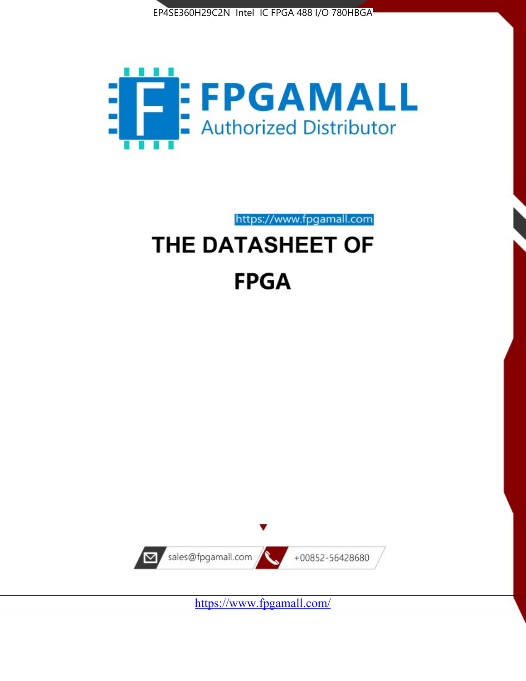



https://www.fpgamall.com

# THE DATASHEET OF **FPGA**



<https://www.fpgamall.com/>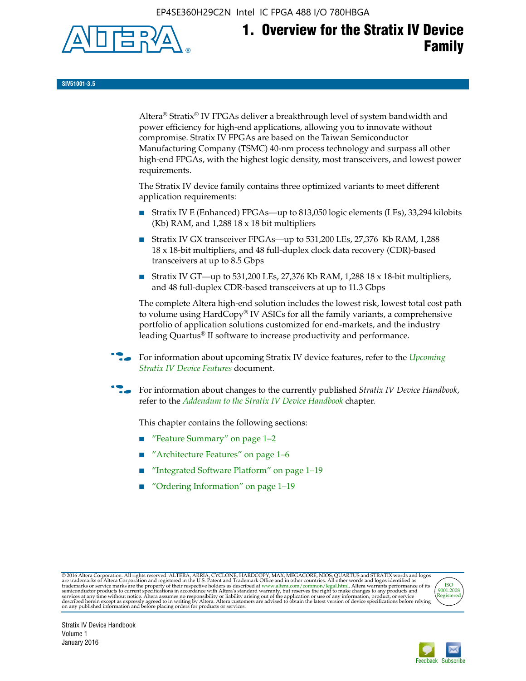EP4SE360H29C2N Intel IC FPGA 488 I/O 780HBGA



# **1. Overview for the Stratix IV Device Family**

**SIV51001-3.5**

Altera® Stratix® IV FPGAs deliver a breakthrough level of system bandwidth and power efficiency for high-end applications, allowing you to innovate without compromise. Stratix IV FPGAs are based on the Taiwan Semiconductor Manufacturing Company (TSMC) 40-nm process technology and surpass all other high-end FPGAs, with the highest logic density, most transceivers, and lowest power requirements.

The Stratix IV device family contains three optimized variants to meet different application requirements:

- Stratix IV E (Enhanced) FPGAs—up to 813,050 logic elements (LEs), 33,294 kilobits (Kb) RAM, and 1,288 18 x 18 bit multipliers
- Stratix IV GX transceiver FPGAs—up to 531,200 LEs, 27,376 Kb RAM, 1,288 18 x 18-bit multipliers, and 48 full-duplex clock data recovery (CDR)-based transceivers at up to 8.5 Gbps
- Stratix IV GT—up to 531,200 LEs, 27,376 Kb RAM, 1,288 18 x 18-bit multipliers, and 48 full-duplex CDR-based transceivers at up to 11.3 Gbps

The complete Altera high-end solution includes the lowest risk, lowest total cost path to volume using HardCopy® IV ASICs for all the family variants, a comprehensive portfolio of application solutions customized for end-markets, and the industry leading Quartus® II software to increase productivity and performance.

f For information about upcoming Stratix IV device features, refer to the *[Upcoming](http://www.altera.com/literature/hb/stratix-iv/uf01001.pdf?GSA_pos=2&WT.oss_r=1&WT.oss=upcoming)  [Stratix IV Device Features](http://www.altera.com/literature/hb/stratix-iv/uf01001.pdf?GSA_pos=2&WT.oss_r=1&WT.oss=upcoming)* document.

f For information about changes to the currently published *Stratix IV Device Handbook*, refer to the *[Addendum to the Stratix IV Device Handbook](http://www.altera.com/literature/hb/stratix-iv/stx4_siv54002.pdf)* chapter.

This chapter contains the following sections:

- "Feature Summary" on page 1–2
- "Architecture Features" on page 1–6
- "Integrated Software Platform" on page 1–19
- "Ordering Information" on page 1–19

@2016 Altera Corporation. All rights reserved. ALTERA, ARRIA, CYCLONE, HARDCOPY, MAX, MEGACORE, NIOS, QUARTUS and STRATIX words and logos are trademarks of Altera Corporation and registered in the U.S. Patent and Trademark



Stratix IV Device Handbook Volume 1 January 2016

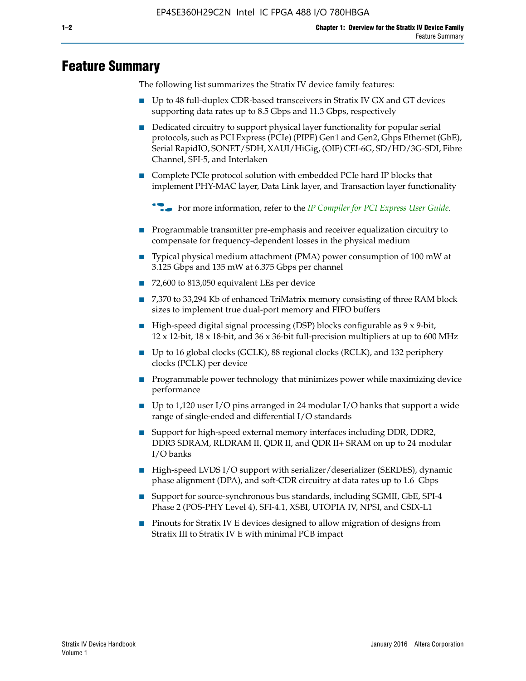## **Feature Summary**

The following list summarizes the Stratix IV device family features:

- Up to 48 full-duplex CDR-based transceivers in Stratix IV GX and GT devices supporting data rates up to 8.5 Gbps and 11.3 Gbps, respectively
- Dedicated circuitry to support physical layer functionality for popular serial protocols, such as PCI Express (PCIe) (PIPE) Gen1 and Gen2, Gbps Ethernet (GbE), Serial RapidIO, SONET/SDH, XAUI/HiGig, (OIF) CEI-6G, SD/HD/3G-SDI, Fibre Channel, SFI-5, and Interlaken
- Complete PCIe protocol solution with embedded PCIe hard IP blocks that implement PHY-MAC layer, Data Link layer, and Transaction layer functionality

**For more information, refer to the** *[IP Compiler for PCI Express User Guide](http://www.altera.com/literature/ug/ug_pci_express.pdf)***.** 

- Programmable transmitter pre-emphasis and receiver equalization circuitry to compensate for frequency-dependent losses in the physical medium
- Typical physical medium attachment (PMA) power consumption of 100 mW at 3.125 Gbps and 135 mW at 6.375 Gbps per channel
- 72,600 to 813,050 equivalent LEs per device
- 7,370 to 33,294 Kb of enhanced TriMatrix memory consisting of three RAM block sizes to implement true dual-port memory and FIFO buffers
- High-speed digital signal processing (DSP) blocks configurable as 9 x 9-bit,  $12 \times 12$ -bit,  $18 \times 18$ -bit, and  $36 \times 36$ -bit full-precision multipliers at up to 600 MHz
- Up to 16 global clocks (GCLK), 88 regional clocks (RCLK), and 132 periphery clocks (PCLK) per device
- Programmable power technology that minimizes power while maximizing device performance
- Up to 1,120 user I/O pins arranged in 24 modular I/O banks that support a wide range of single-ended and differential I/O standards
- Support for high-speed external memory interfaces including DDR, DDR2, DDR3 SDRAM, RLDRAM II, QDR II, and QDR II+ SRAM on up to 24 modular I/O banks
- High-speed LVDS I/O support with serializer/deserializer (SERDES), dynamic phase alignment (DPA), and soft-CDR circuitry at data rates up to 1.6 Gbps
- Support for source-synchronous bus standards, including SGMII, GbE, SPI-4 Phase 2 (POS-PHY Level 4), SFI-4.1, XSBI, UTOPIA IV, NPSI, and CSIX-L1
- Pinouts for Stratix IV E devices designed to allow migration of designs from Stratix III to Stratix IV E with minimal PCB impact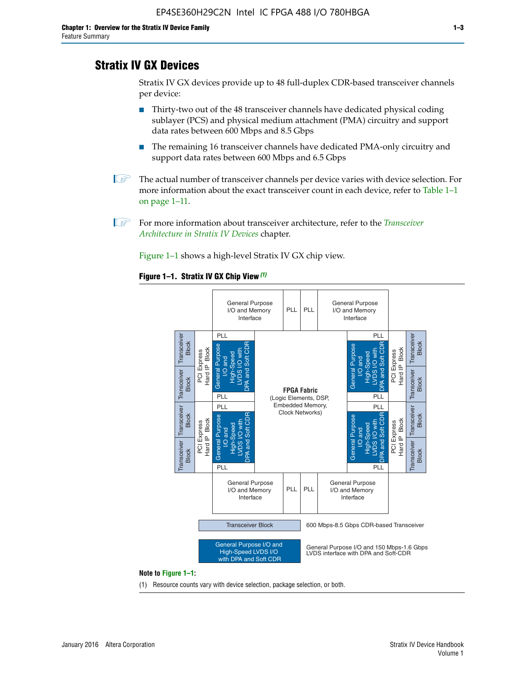## **Stratix IV GX Devices**

Stratix IV GX devices provide up to 48 full-duplex CDR-based transceiver channels per device:

- Thirty-two out of the 48 transceiver channels have dedicated physical coding sublayer (PCS) and physical medium attachment (PMA) circuitry and support data rates between 600 Mbps and 8.5 Gbps
- The remaining 16 transceiver channels have dedicated PMA-only circuitry and support data rates between 600 Mbps and 6.5 Gbps
- **1 The actual number of transceiver channels per device varies with device selection. For** more information about the exact transceiver count in each device, refer to Table 1–1 on page 1–11.
- 1 For more information about transceiver architecture, refer to the *[Transceiver](http://www.altera.com/literature/hb/stratix-iv/stx4_siv52001.pdf)  [Architecture in Stratix IV Devices](http://www.altera.com/literature/hb/stratix-iv/stx4_siv52001.pdf)* chapter.

Figure 1–1 shows a high-level Stratix IV GX chip view.

#### **Figure 1–1. Stratix IV GX Chip View** *(1)*



#### **Note to Figure 1–1:**

(1) Resource counts vary with device selection, package selection, or both.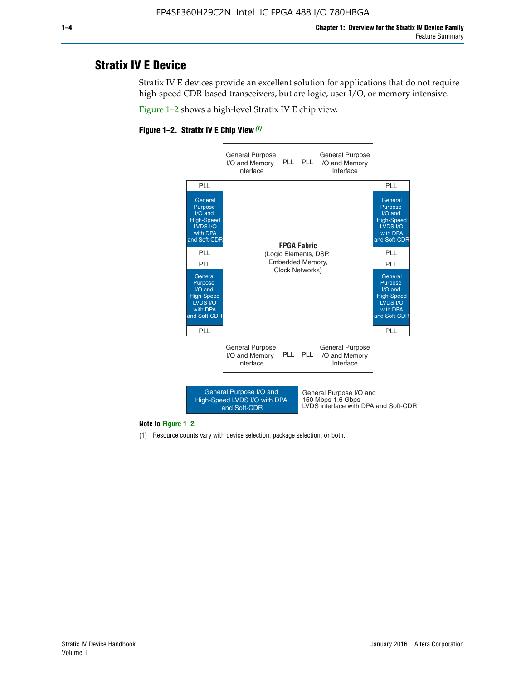## **Stratix IV E Device**

Stratix IV E devices provide an excellent solution for applications that do not require high-speed CDR-based transceivers, but are logic, user I/O, or memory intensive.

Figure 1–2 shows a high-level Stratix IV E chip view.





#### **Note to Figure 1–2:**

(1) Resource counts vary with device selection, package selection, or both.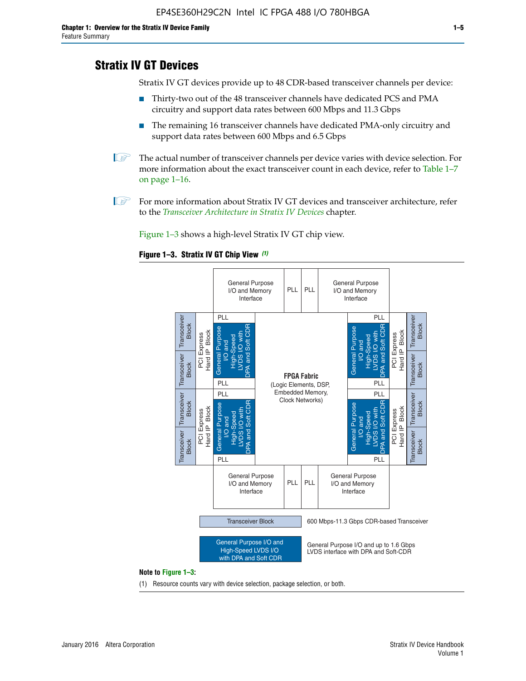## **Stratix IV GT Devices**

Stratix IV GT devices provide up to 48 CDR-based transceiver channels per device:

- Thirty-two out of the 48 transceiver channels have dedicated PCS and PMA circuitry and support data rates between 600 Mbps and 11.3 Gbps
- The remaining 16 transceiver channels have dedicated PMA-only circuitry and support data rates between 600 Mbps and 6.5 Gbps
- **1** The actual number of transceiver channels per device varies with device selection. For more information about the exact transceiver count in each device, refer to Table 1–7 on page 1–16.
- $\mathbb{I}$  For more information about Stratix IV GT devices and transceiver architecture, refer to the *[Transceiver Architecture in Stratix IV Devices](http://www.altera.com/literature/hb/stratix-iv/stx4_siv52001.pdf)* chapter.

Figure 1–3 shows a high-level Stratix IV GT chip view.

#### **Figure 1–3. Stratix IV GT Chip View** *(1)*



(1) Resource counts vary with device selection, package selection, or both.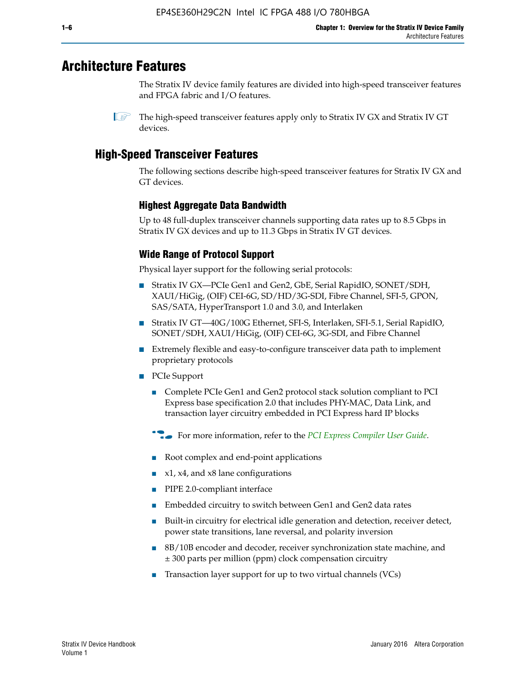## **Architecture Features**

The Stratix IV device family features are divided into high-speed transceiver features and FPGA fabric and I/O features.

 $\mathbb{I}$  The high-speed transceiver features apply only to Stratix IV GX and Stratix IV GT devices.

## **High-Speed Transceiver Features**

The following sections describe high-speed transceiver features for Stratix IV GX and GT devices.

## **Highest Aggregate Data Bandwidth**

Up to 48 full-duplex transceiver channels supporting data rates up to 8.5 Gbps in Stratix IV GX devices and up to 11.3 Gbps in Stratix IV GT devices.

## **Wide Range of Protocol Support**

Physical layer support for the following serial protocols:

- Stratix IV GX—PCIe Gen1 and Gen2, GbE, Serial RapidIO, SONET/SDH, XAUI/HiGig, (OIF) CEI-6G, SD/HD/3G-SDI, Fibre Channel, SFI-5, GPON, SAS/SATA, HyperTransport 1.0 and 3.0, and Interlaken
- Stratix IV GT—40G/100G Ethernet, SFI-S, Interlaken, SFI-5.1, Serial RapidIO, SONET/SDH, XAUI/HiGig, (OIF) CEI-6G, 3G-SDI, and Fibre Channel
- Extremely flexible and easy-to-configure transceiver data path to implement proprietary protocols
- PCIe Support
	- Complete PCIe Gen1 and Gen2 protocol stack solution compliant to PCI Express base specification 2.0 that includes PHY-MAC, Data Link, and transaction layer circuitry embedded in PCI Express hard IP blocks
	- **For more information, refer to the [PCI Express Compiler User Guide](http://www.altera.com/literature/ug/ug_pci_express.pdf).**
	- Root complex and end-point applications
	- $x1, x4,$  and  $x8$  lane configurations
	- PIPE 2.0-compliant interface
	- Embedded circuitry to switch between Gen1 and Gen2 data rates
	- Built-in circuitry for electrical idle generation and detection, receiver detect, power state transitions, lane reversal, and polarity inversion
	- 8B/10B encoder and decoder, receiver synchronization state machine, and ± 300 parts per million (ppm) clock compensation circuitry
	- Transaction layer support for up to two virtual channels (VCs)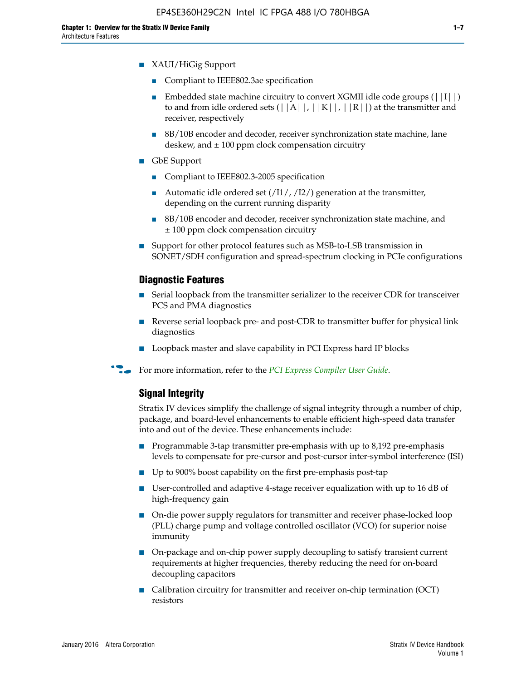- Compliant to IEEE802.3ae specification
- **■** Embedded state machine circuitry to convert XGMII idle code groups  $(|11|)$ to and from idle ordered sets  $(|A|, |K|, |R|)$  at the transmitter and receiver, respectively
- 8B/10B encoder and decoder, receiver synchronization state machine, lane deskew, and  $\pm 100$  ppm clock compensation circuitry
- GbE Support
	- Compliant to IEEE802.3-2005 specification
	- Automatic idle ordered set  $(111/112/1)$  generation at the transmitter, depending on the current running disparity
	- 8B/10B encoder and decoder, receiver synchronization state machine, and ± 100 ppm clock compensation circuitry
- Support for other protocol features such as MSB-to-LSB transmission in SONET/SDH configuration and spread-spectrum clocking in PCIe configurations

#### **Diagnostic Features**

- Serial loopback from the transmitter serializer to the receiver CDR for transceiver PCS and PMA diagnostics
- Reverse serial loopback pre- and post-CDR to transmitter buffer for physical link diagnostics
- Loopback master and slave capability in PCI Express hard IP blocks
- **For more information, refer to the** *[PCI Express Compiler User Guide](http://www.altera.com/literature/ug/ug_pci_express.pdf)***.**

## **Signal Integrity**

Stratix IV devices simplify the challenge of signal integrity through a number of chip, package, and board-level enhancements to enable efficient high-speed data transfer into and out of the device. These enhancements include:

- Programmable 3-tap transmitter pre-emphasis with up to 8,192 pre-emphasis levels to compensate for pre-cursor and post-cursor inter-symbol interference (ISI)
- Up to 900% boost capability on the first pre-emphasis post-tap
- User-controlled and adaptive 4-stage receiver equalization with up to 16 dB of high-frequency gain
- On-die power supply regulators for transmitter and receiver phase-locked loop (PLL) charge pump and voltage controlled oscillator (VCO) for superior noise immunity
- On-package and on-chip power supply decoupling to satisfy transient current requirements at higher frequencies, thereby reducing the need for on-board decoupling capacitors
- Calibration circuitry for transmitter and receiver on-chip termination (OCT) resistors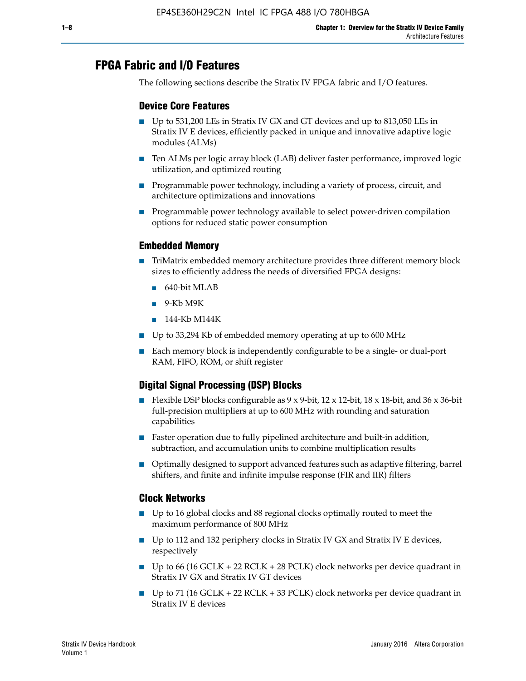## **FPGA Fabric and I/O Features**

The following sections describe the Stratix IV FPGA fabric and I/O features.

## **Device Core Features**

- Up to 531,200 LEs in Stratix IV GX and GT devices and up to 813,050 LEs in Stratix IV E devices, efficiently packed in unique and innovative adaptive logic modules (ALMs)
- Ten ALMs per logic array block (LAB) deliver faster performance, improved logic utilization, and optimized routing
- Programmable power technology, including a variety of process, circuit, and architecture optimizations and innovations
- Programmable power technology available to select power-driven compilation options for reduced static power consumption

#### **Embedded Memory**

- TriMatrix embedded memory architecture provides three different memory block sizes to efficiently address the needs of diversified FPGA designs:
	- 640-bit MLAB
	- 9-Kb M9K
	- 144-Kb M144K
- Up to 33,294 Kb of embedded memory operating at up to 600 MHz
- Each memory block is independently configurable to be a single- or dual-port RAM, FIFO, ROM, or shift register

## **Digital Signal Processing (DSP) Blocks**

- Flexible DSP blocks configurable as  $9 \times 9$ -bit,  $12 \times 12$ -bit,  $18 \times 18$ -bit, and  $36 \times 36$ -bit full-precision multipliers at up to 600 MHz with rounding and saturation capabilities
- Faster operation due to fully pipelined architecture and built-in addition, subtraction, and accumulation units to combine multiplication results
- Optimally designed to support advanced features such as adaptive filtering, barrel shifters, and finite and infinite impulse response (FIR and IIR) filters

#### **Clock Networks**

- Up to 16 global clocks and 88 regional clocks optimally routed to meet the maximum performance of 800 MHz
- Up to 112 and 132 periphery clocks in Stratix IV GX and Stratix IV E devices, respectively
- Up to 66 (16 GCLK + 22 RCLK + 28 PCLK) clock networks per device quadrant in Stratix IV GX and Stratix IV GT devices
- Up to 71 (16 GCLK + 22 RCLK + 33 PCLK) clock networks per device quadrant in Stratix IV E devices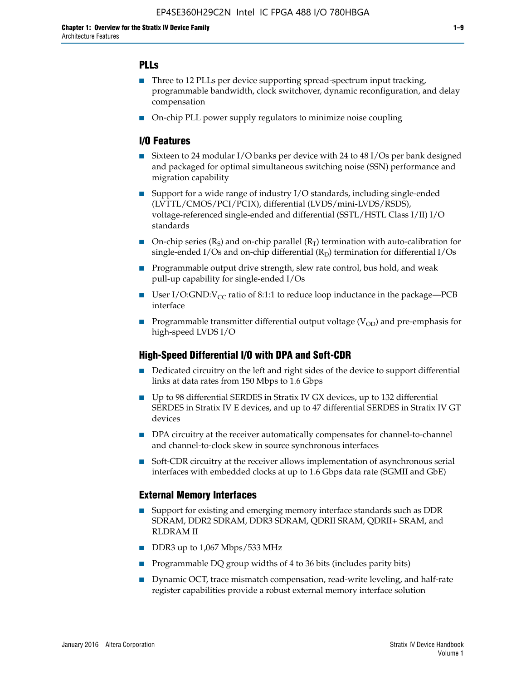## **PLLs**

- Three to 12 PLLs per device supporting spread-spectrum input tracking, programmable bandwidth, clock switchover, dynamic reconfiguration, and delay compensation
- On-chip PLL power supply regulators to minimize noise coupling

### **I/O Features**

- Sixteen to 24 modular I/O banks per device with 24 to 48 I/Os per bank designed and packaged for optimal simultaneous switching noise (SSN) performance and migration capability
- Support for a wide range of industry I/O standards, including single-ended (LVTTL/CMOS/PCI/PCIX), differential (LVDS/mini-LVDS/RSDS), voltage-referenced single-ended and differential (SSTL/HSTL Class I/II) I/O standards
- **O**n-chip series  $(R_S)$  and on-chip parallel  $(R_T)$  termination with auto-calibration for single-ended I/Os and on-chip differential  $(R_D)$  termination for differential I/Os
- Programmable output drive strength, slew rate control, bus hold, and weak pull-up capability for single-ended I/Os
- User I/O:GND: $V_{CC}$  ratio of 8:1:1 to reduce loop inductance in the package—PCB interface
- **■** Programmable transmitter differential output voltage ( $V_{OD}$ ) and pre-emphasis for high-speed LVDS I/O

#### **High-Speed Differential I/O with DPA and Soft-CDR**

- Dedicated circuitry on the left and right sides of the device to support differential links at data rates from 150 Mbps to 1.6 Gbps
- Up to 98 differential SERDES in Stratix IV GX devices, up to 132 differential SERDES in Stratix IV E devices, and up to 47 differential SERDES in Stratix IV GT devices
- DPA circuitry at the receiver automatically compensates for channel-to-channel and channel-to-clock skew in source synchronous interfaces
- Soft-CDR circuitry at the receiver allows implementation of asynchronous serial interfaces with embedded clocks at up to 1.6 Gbps data rate (SGMII and GbE)

#### **External Memory Interfaces**

- Support for existing and emerging memory interface standards such as DDR SDRAM, DDR2 SDRAM, DDR3 SDRAM, QDRII SRAM, QDRII+ SRAM, and RLDRAM II
- DDR3 up to 1,067 Mbps/533 MHz
- Programmable DQ group widths of 4 to 36 bits (includes parity bits)
- Dynamic OCT, trace mismatch compensation, read-write leveling, and half-rate register capabilities provide a robust external memory interface solution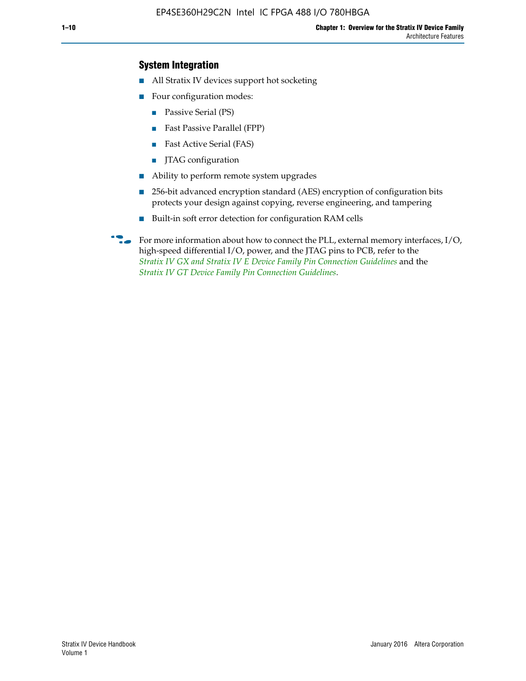## **System Integration**

- All Stratix IV devices support hot socketing
- Four configuration modes:
	- Passive Serial (PS)
	- Fast Passive Parallel (FPP)
	- Fast Active Serial (FAS)
	- JTAG configuration
- Ability to perform remote system upgrades
- 256-bit advanced encryption standard (AES) encryption of configuration bits protects your design against copying, reverse engineering, and tampering
- Built-in soft error detection for configuration RAM cells
- For more information about how to connect the PLL, external memory interfaces,  $I/O$ , high-speed differential I/O, power, and the JTAG pins to PCB, refer to the *[Stratix IV GX and Stratix IV E Device Family Pin Connection Guidelines](http://www.altera.com/literature/dp/stratix4/PCG-01005.pdf)* and the *[Stratix IV GT Device Family Pin Connection Guidelines](http://www.altera.com/literature/dp/stratix4/PCG-01006.pdf)*.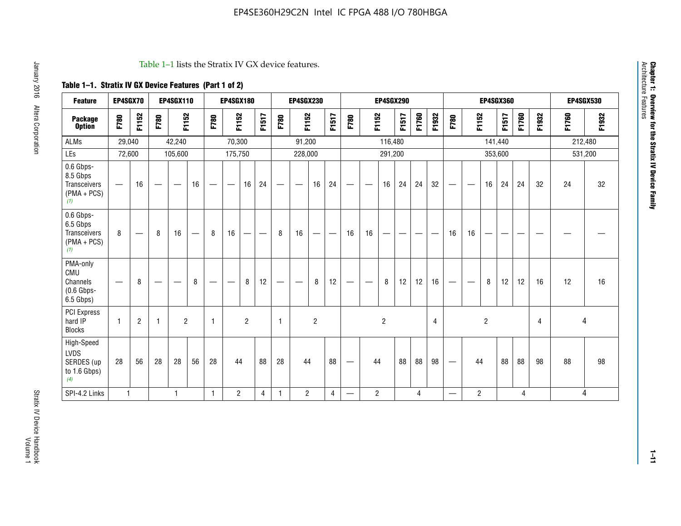#### Table 1–1 lists the Stratix IV GX device features.

## **Table 1–1. Stratix IV GX Device Features (Part 1 of 2)**

| <b>Feature</b>                                                 | EP4SGX70                 |                |                                  | <b>EP4SGX110</b>  |    |                                | <b>EP4SGX180</b>               |                |       |              | <b>EP4SGX230</b>         |                |       |                                 |                | <b>EP4SGX290</b> |       |       |                |                                 |                   | <b>EP4SGX360</b> |         |       |       |         | <b>EP4SGX530</b> |
|----------------------------------------------------------------|--------------------------|----------------|----------------------------------|-------------------|----|--------------------------------|--------------------------------|----------------|-------|--------------|--------------------------|----------------|-------|---------------------------------|----------------|------------------|-------|-------|----------------|---------------------------------|-------------------|------------------|---------|-------|-------|---------|------------------|
| <b>Package</b><br><b>Option</b>                                | F780                     | F1152          | F780                             | F1152             |    | F780                           | F1152                          |                | F1517 | F780         | F1152                    |                | F1517 | F780                            | F1152          |                  | F1517 | F1760 | F1932          | F780                            | F1152             |                  | F1517   | F1760 | F1932 | F1760   | F1932            |
| <b>ALMs</b>                                                    | 29,040                   |                |                                  | 42,240            |    |                                | 70,300                         |                |       |              | 91,200                   |                |       |                                 |                | 116,480          |       |       |                |                                 |                   |                  | 141,440 |       |       | 212,480 |                  |
| LEs                                                            | 72,600                   |                |                                  | 105,600           |    |                                | 175,750                        |                |       |              | 228,000                  |                |       |                                 |                | 291,200          |       |       |                |                                 |                   |                  | 353,600 |       |       |         | 531,200          |
| 0.6 Gbps-<br>8.5 Gbps<br>Transceivers<br>$(PMA + PCs)$<br>(1)  | $\overline{\phantom{0}}$ | 16             | $\hspace{0.05cm}$                | $\hspace{0.05cm}$ | 16 | $\qquad \qquad \longleftarrow$ | $\hspace{0.05cm}$              | 16             | 24    |              | $\overline{\phantom{a}}$ | 16             | 24    | —                               |                | 16               | 24    | 24    | 32             | $\overline{\phantom{0}}$        | $\hspace{0.05cm}$ | 16               | 24      | 24    | 32    | 24      | 32               |
| 0.6 Gbps-<br>6.5 Gbps<br>Transceivers<br>$(PMA + PCs)$<br>(1)  | 8                        |                | 8                                | 16                |    | 8                              | 16                             | ÷              |       | 8            | 16                       | —              |       | 16                              | 16             |                  |       |       |                | 16                              | 16                |                  |         |       |       |         |                  |
| PMA-only<br>CMU<br>Channels<br>$(0.6$ Gbps-<br>6.5 Gbps)       | $\overline{\phantom{0}}$ | 8              | $\overbrace{\phantom{12322111}}$ |                   | 8  | $\qquad \qquad \longleftarrow$ | $\qquad \qquad \longleftarrow$ | 8              | 12    |              |                          | 8              | 12    | $\hspace{0.1mm}-\hspace{0.1mm}$ |                | 8                | 12    | 12    | 16             | $\overline{\phantom{0}}$        | $\hspace{0.05cm}$ | 8                | 12      | 12    | 16    | 12      | 16               |
| PCI Express<br>hard IP<br><b>Blocks</b>                        | $\mathbf{1}$             | $\overline{2}$ | $\mathbf 1$                      | $\overline{2}$    |    | $\mathbf{1}$                   |                                | $\overline{2}$ |       | $\mathbf{1}$ |                          | $\overline{c}$ |       |                                 |                | $\overline{c}$   |       |       | $\overline{4}$ |                                 |                   | $\overline{2}$   |         |       | 4     |         | 4                |
| High-Speed<br><b>LVDS</b><br>SERDES (up<br>to 1.6 Gbps)<br>(4) | 28                       | 56             | 28                               | 28                | 56 | 28                             | 44                             |                | 88    | 28           | 44                       |                | 88    | —                               | 44             |                  | 88    | 88    | 98             | $\hspace{0.1mm}-\hspace{0.1mm}$ | 44                |                  | 88      | 88    | 98    | 88      | 98               |
| SPI-4.2 Links                                                  | $\mathbf{1}$             |                |                                  | 1                 |    | $\mathbf{1}$                   | $\overline{c}$                 |                | 4     | 1            | $\overline{c}$           |                | 4     | —                               | $\overline{2}$ |                  |       | 4     |                | $\overline{\phantom{0}}$        | $\overline{2}$    |                  |         | 4     |       |         | 4                |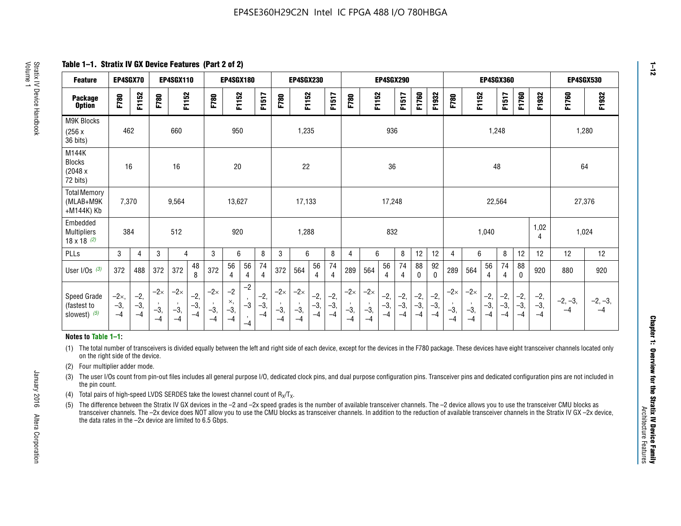**Table 1–1. Stratix IV GX Device Features (Part 2 of 2)**

| <b>Feature</b>                                       | EP4SGX70                |                        |                             | <b>EP4SGX110</b>            |                      |                             | EP4SGX180                 |                                 |                        |                             | <b>EP4SGX230</b>            |                      |                      |                            |                             | <b>EP4SGX290</b>       |                      |                      |                        |                             |                             |                        | EP4SGX360             |                      |                        | EP4SGX530         |                 |
|------------------------------------------------------|-------------------------|------------------------|-----------------------------|-----------------------------|----------------------|-----------------------------|---------------------------|---------------------------------|------------------------|-----------------------------|-----------------------------|----------------------|----------------------|----------------------------|-----------------------------|------------------------|----------------------|----------------------|------------------------|-----------------------------|-----------------------------|------------------------|-----------------------|----------------------|------------------------|-------------------|-----------------|
| <b>Package</b><br><b>Option</b>                      | <b>F780</b>             | F1152                  | F780                        | F1152                       |                      | F780                        | F1152                     |                                 | F1517                  | F780                        | F1152                       |                      | F1517                | F780                       | F1152                       |                        | F1517                | F1760                | F1932                  | F780                        | F1152                       |                        | F1517                 | F1760                | F1932                  | F1760             | F1932           |
| <b>M9K Blocks</b><br>(256x)<br>36 bits)              | 462                     |                        |                             | 660                         |                      |                             | 950                       |                                 |                        |                             | 1,235                       |                      |                      |                            |                             | 936                    |                      |                      |                        |                             |                             | 1,248                  |                       |                      |                        |                   | 1,280           |
| M144K<br><b>Blocks</b><br>(2048 x<br>72 bits)        | 16                      |                        |                             | 16                          |                      |                             | 20                        |                                 |                        |                             | 22                          |                      |                      |                            |                             | 36                     |                      |                      |                        |                             |                             | 48                     |                       |                      |                        | 64                |                 |
| <b>Total Memory</b><br>(MLAB+M9K<br>+M144K) Kb       | 7,370                   |                        |                             | 9,564                       |                      |                             | 13,627                    |                                 |                        |                             | 17,133                      |                      |                      |                            |                             | 17,248                 |                      |                      |                        |                             |                             | 22,564                 |                       |                      |                        | 27,376            |                 |
| Embedded<br><b>Multipliers</b><br>$18 \times 18$ (2) | 384                     |                        |                             | 512                         |                      |                             | 920                       |                                 |                        |                             | 1,288                       |                      |                      |                            |                             | 832                    |                      |                      |                        |                             |                             | 1,040                  |                       |                      | 1,02<br>4              | 1,024             |                 |
| <b>PLLs</b>                                          | 3                       | $\overline{4}$         | 3                           | 4                           |                      | 3                           | 6                         |                                 | 8                      | 3                           | 6                           |                      | 8                    | 4                          | 6                           |                        | 8                    | 12                   | 12                     | 4                           | 6                           |                        | 8                     | 12                   | 12                     | 12                | 12              |
| User $I/Os$ (3)                                      | 372                     | 488                    | 372                         | 372                         | 48<br>8              | 372                         | 56<br>4                   | 56<br>4                         | 74<br>4                | 372                         | 564                         | 56<br>4              | 74<br>$\overline{4}$ | 289                        | 564                         | 56<br>4                | 74<br>4              | 88<br>0              | 92<br>$\mathbf 0$      | 289                         | 564                         | 56<br>4                | 74<br>4               | 88<br>$\mathbf{0}$   | 920                    | 880               | 920             |
| Speed Grade<br>(fastest to<br>slowest) (5)           | $-2x,$<br>$-3,$<br>$-4$ | $-2,$<br>$-3,$<br>$-4$ | $-2\times$<br>$-3,$<br>$-4$ | $-2\times$<br>$-3,$<br>$-4$ | $-2,$<br>-3,<br>$-4$ | $-2\times$<br>$-3,$<br>$-4$ | $-2$<br>×,<br>$-3,$<br>-4 | $-2$<br>$-3$<br>$\cdot$<br>$-4$ | $-2,$<br>$-3,$<br>$-4$ | $-2\times$<br>$-3,$<br>$-4$ | $-2\times$<br>$-3,$<br>$-4$ | $-2,$<br>-3,<br>$-4$ | $-2,$<br>-3,<br>$-4$ | $-2\times$<br>$-3$<br>$-4$ | $-2\times$<br>$-3,$<br>$-4$ | $-2,$<br>$-3,$<br>$-4$ | $-2,$<br>-3,<br>$-4$ | $-2,$<br>-3,<br>$-4$ | $-2,$<br>$-3,$<br>$-4$ | $-2\times$<br>$-3,$<br>$-4$ | $-2\times$<br>$-3,$<br>$-4$ | $-2,$<br>$-3,$<br>$-4$ | $-2,$<br>$-3$<br>$-4$ | $-2,$<br>-3,<br>$-4$ | $-2,$<br>$-3,$<br>$-4$ | $-2, -3,$<br>$-4$ | $-2, -3,$<br>-4 |

#### **Notes to Table 1–1:**

(1) The total number of transceivers is divided equally between the left and right side of each device, except for the devices in the F780 package. These devices have eight transceiver channels located only on the right side of the device.

- (2) Four multiplier adder mode.
- (3) The user I/Os count from pin-out files includes all general purpose I/O, dedicated clock pins, and dual purpose configuration pins. Transceiver pins and dedicated configuration pins are not included in the pin count.
- (4) Total pairs of high-speed LVDS SERDES take the lowest channel count of  $R_X/T_X$ .
- (5) The difference between the Stratix IV GX devices in the –2 and –2x speed grades is the number of available transceiver channels. The –2 device allows you to use the transceiver CMU blocks as transceiver channels. The –2x device does NOT allow you to use the CMU blocks as transceiver channels. In addition to the reduction of available transceiver channels in the Stratix IV GX –2x device, the data rates in the –2x device are limited to 6.5 Gbps.

January 2016 Altera Corporation

Altera Corporation

January 2016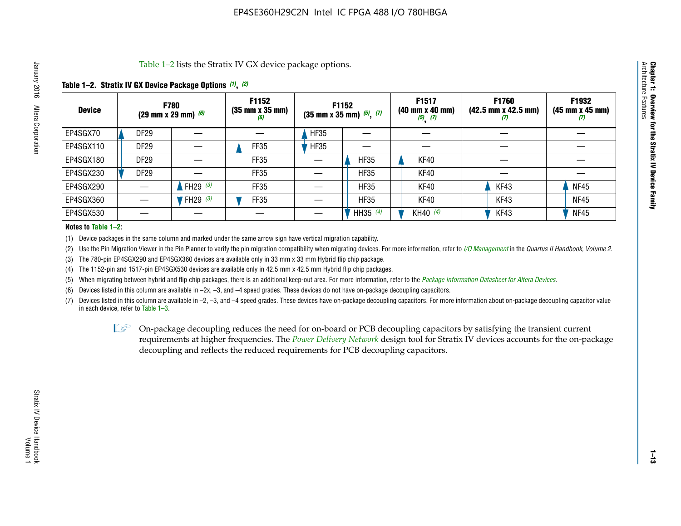Table 1–2 lists the Stratix IV GX device package options.

## **Table 1–2. Stratix IV GX Device Package Options** *(1)***,** *(2)*

| <b>Device</b> | <b>F780</b><br>(29 mm x 29 mm) $(6)$ |            | F1152<br>$(35 \, \text{mm} \times 35 \, \text{mm})$<br>(6) |             | F1152<br>$(35$ mm x 35 mm) $(5)$ , $(7)$ | F1517<br>$(40 \, \text{mm} \times 40 \, \text{mm})$<br>$(5)$ $(7)$ | <b>F1760</b><br>$(42.5 \text{ mm} \times 42.5 \text{ mm})$<br>$\boldsymbol{U}$ | F1932<br>$(45 \, \text{mm} \times 45 \, \text{mm})$<br>(7) |
|---------------|--------------------------------------|------------|------------------------------------------------------------|-------------|------------------------------------------|--------------------------------------------------------------------|--------------------------------------------------------------------------------|------------------------------------------------------------|
| EP4SGX70      | <b>DF29</b>                          |            |                                                            | <b>HF35</b> |                                          |                                                                    |                                                                                |                                                            |
| EP4SGX110     | DF <sub>29</sub>                     |            | FF35                                                       | <b>HF35</b> |                                          |                                                                    |                                                                                |                                                            |
| EP4SGX180     | <b>DF29</b>                          |            | FF35                                                       |             | <b>HF35</b>                              | KF40                                                               |                                                                                |                                                            |
| EP4SGX230     | <b>DF29</b>                          |            | FF35                                                       |             | <b>HF35</b>                              | KF40                                                               |                                                                                |                                                            |
| EP4SGX290     |                                      | FH29 $(3)$ | <b>FF35</b>                                                |             | <b>HF35</b>                              | KF40                                                               | KF43                                                                           | <b>NF45</b>                                                |
| EP4SGX360     |                                      | FH29 $(3)$ | FF35                                                       |             | <b>HF35</b>                              | KF40                                                               | KF43                                                                           | <b>NF45</b>                                                |
| EP4SGX530     |                                      |            |                                                            |             | HH35 $(4)$                               | KH40 (4)                                                           | KF43                                                                           | <b>NF45</b>                                                |

#### **Notes to Table 1–2:**

(1) Device packages in the same column and marked under the same arrow sign have vertical migration capability.

(2) Use the Pin Migration Viewer in the Pin Planner to verify the pin migration compatibility when migrating devices. For more information, refer to *[I/O Management](http://www.altera.com/literature/hb/qts/qts_qii52013.pdf)* in the *Quartus II Handbook, Volume 2*.

(3) The 780-pin EP4SGX290 and EP4SGX360 devices are available only in 33 mm x 33 mm Hybrid flip chip package.

(4) The 1152-pin and 1517-pin EP4SGX530 devices are available only in 42.5 mm x 42.5 mm Hybrid flip chip packages.

(5) When migrating between hybrid and flip chip packages, there is an additional keep-out area. For more information, refer to the *[Package Information Datasheet for Altera Devices](http://www.altera.com/literature/ds/dspkg.pdf)*.

(6) Devices listed in this column are available in –2x, –3, and –4 speed grades. These devices do not have on-package decoupling capacitors.

(7) Devices listed in this column are available in –2, –3, and –4 speed grades. These devices have on-package decoupling capacitors. For more information about on-package decoupling capacitor value in each device, refer to Table 1–3.

 $\mathbb{L}$ s On-package decoupling reduces the need for on-board or PCB decoupling capacitors by satisfying the transient current requirements at higher frequencies. The *[Power Delivery Network](http://www.altera.com/literature/ug/pdn_tool_stxiv.zip)* design tool for Stratix IV devices accounts for the on-package decoupling and reflects the reduced requirements for PCB decoupling capacitors.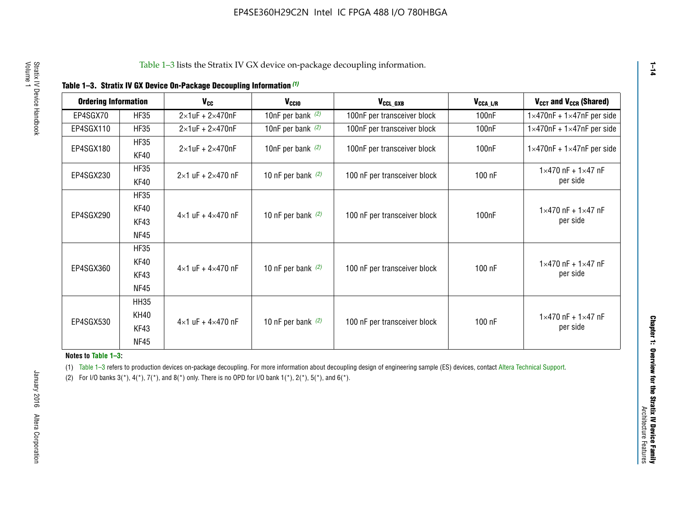|  |  |  | Table 1-3. Stratix IV GX Device On-Package Decoupling Information (1) |
|--|--|--|-----------------------------------------------------------------------|
|--|--|--|-----------------------------------------------------------------------|

| <b>Ordering Information</b> |                            | <b>V<sub>cc</sub></b>               | V <sub>ccio</sub>    | V <sub>CCL GXB</sub>         | V <sub>CCA_L/R</sub> | V <sub>CCT</sub> and V <sub>CCR</sub> (Shared)   |
|-----------------------------|----------------------------|-------------------------------------|----------------------|------------------------------|----------------------|--------------------------------------------------|
| EP4SGX70                    | <b>HF35</b>                | $2\times1$ uF + $2\times470$ nF     | 10nF per bank $(2)$  | 100nF per transceiver block  | 100 <sub>n</sub> F   | $1 \times 470$ nF + $1 \times 47$ nF per side    |
| EP4SGX110                   | <b>HF35</b>                | $2\times1$ uF + $2\times470$ nF     | 10nF per bank $(2)$  | 100nF per transceiver block  | 100 <sub>n</sub> F   | $1\times470$ nF + $1\times47$ nF per side        |
| EP4SGX180                   | <b>HF35</b><br>KF40        | $2\times1$ uF + $2\times470$ nF     | 10nF per bank $(2)$  | 100nF per transceiver block  | 100 <sub>n</sub> F   | $1 \times 470$ nF + $1 \times 47$ nF per side    |
| EP4SGX230                   | <b>HF35</b><br>KF40        | $2 \times 1$ uF + $2 \times 470$ nF | 10 nF per bank $(2)$ | 100 nF per transceiver block | 100 nF               | $1 \times 470$ nF + $1 \times 47$ nF<br>per side |
|                             | <b>HF35</b><br><b>KF40</b> |                                     |                      |                              |                      | $1 \times 470$ nF + $1 \times 47$ nF             |
| EP4SGX290                   | KF43<br><b>NF45</b>        | $4 \times 1$ uF + $4 \times 470$ nF | 10 nF per bank $(2)$ | 100 nF per transceiver block | 100nF                | per side                                         |
|                             | <b>HF35</b><br>KF40        |                                     |                      |                              |                      | $1 \times 470$ nF + $1 \times 47$ nF             |
| EP4SGX360                   | KF43<br><b>NF45</b>        | $4 \times 1$ uF + $4 \times 470$ nF | 10 nF per bank $(2)$ | 100 nF per transceiver block | 100 nF               | per side                                         |
|                             | <b>HH35</b>                |                                     |                      |                              |                      |                                                  |
| EP4SGX530                   | <b>KH40</b><br>KF43        | $4 \times 1$ uF + $4 \times 470$ nF | 10 nF per bank $(2)$ | 100 nF per transceiver block | 100 nF               | $1 \times 470$ nF + $1 \times 47$ nF<br>per side |
|                             | <b>NF45</b>                |                                     |                      |                              |                      |                                                  |

**Notes to Table 1–3:**

(1) Table 1-3 refers to production devices on-package decoupling. For more information about decoupling design of engineering sample (ES) devices, contact [Altera Technical Support](http://mysupport.altera.com/eservice/login.asp).

(2) For I/O banks  $3(*)$ ,  $4(*)$ ,  $7(*)$ , and  $8(*)$  only. There is no OPD for I/O bank  $1(*)$ ,  $2(*)$ ,  $5(*)$ , and  $6(*)$ .

**1–14**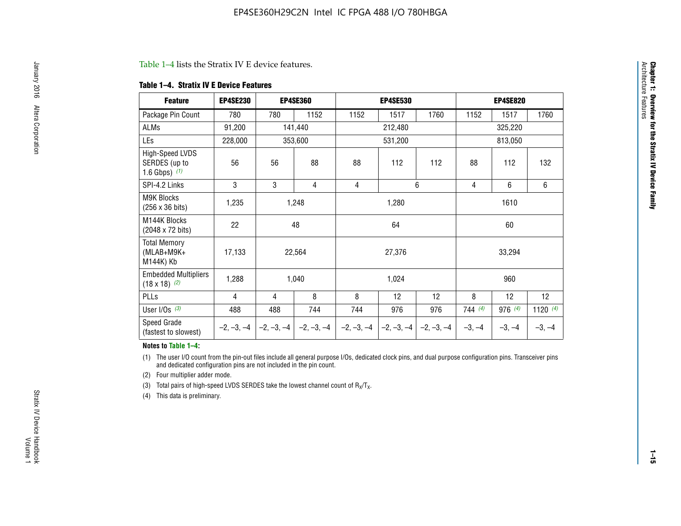#### Table 1–4 lists the Stratix IV E device features.

#### **Table 1–4. Stratix IV E Device Features**

| <b>Feature</b>                                      | <b>EP4SE230</b> |     | <b>EP4SE360</b>                        |              | <b>EP4SE530</b> |              | <b>EP4SE820</b> |          |            |
|-----------------------------------------------------|-----------------|-----|----------------------------------------|--------------|-----------------|--------------|-----------------|----------|------------|
| Package Pin Count                                   | 780             | 780 | 1152                                   | 1152         | 1517            | 1760         | 1152            | 1517     | 1760       |
| ALMs                                                | 91,200          |     | 141,440                                |              | 212,480         |              |                 | 325,220  |            |
| LEs                                                 | 228,000         |     | 353,600                                |              | 531,200         |              |                 | 813,050  |            |
| High-Speed LVDS<br>SERDES (up to<br>1.6 Gbps) $(1)$ | 56              | 56  | 88                                     | 88           | 112             | 112          | 88              | 112      | 132        |
| SPI-4.2 Links                                       | 3               | 3   | 4                                      | 4            |                 | 6            | 4               | 6        | 6          |
| <b>M9K Blocks</b><br>(256 x 36 bits)                | 1,235           |     | 1,248                                  |              | 1,280           |              |                 | 1610     |            |
| M144K Blocks<br>(2048 x 72 bits)                    | 22              |     | 48                                     |              | 64              |              |                 | 60       |            |
| <b>Total Memory</b><br>$(MLAB+M9K+$<br>M144K) Kb    | 17,133          |     | 22,564                                 |              | 27,376          |              |                 | 33,294   |            |
| <b>Embedded Multipliers</b><br>$(18 \times 18)$ (2) | 1,288           |     | 1,040                                  |              | 1,024           |              |                 | 960      |            |
| PLLs                                                | 4               | 4   | 8                                      | 8            | 12              | 12           | 8               | 12       | 12         |
| User I/Os $(3)$                                     | 488             | 488 | 744                                    | 744          | 976             | 976          | 744(4)          | 976 (4)  | 1120 $(4)$ |
| Speed Grade<br>(fastest to slowest)                 |                 |     | $-2, -3, -4$ $-2, -3, -4$ $-2, -3, -4$ | $-2, -3, -4$ | $-2, -3, -4$    | $-2, -3, -4$ | $-3, -4$        | $-3, -4$ | $-3, -4$   |

#### **Notes to Table 1–4:**

(1) The user I/O count from the pin-out files include all general purpose I/Os, dedicated clock pins, and dual purpose configuration pins. Transceiver pins and dedicated configuration pins are not included in the pin count.

(2) Four multiplier adder mode.

(3) Total pairs of high-speed LVDS SERDES take the lowest channel count of  $R_X/T_X$ .

(4) This data is preliminary.

**Chapter 1: Overview for the Stratix IV Device Family**

**Chapter 1: Overview for the Stratix IV Device Family**<br>Architecture Faatures

Architecture Features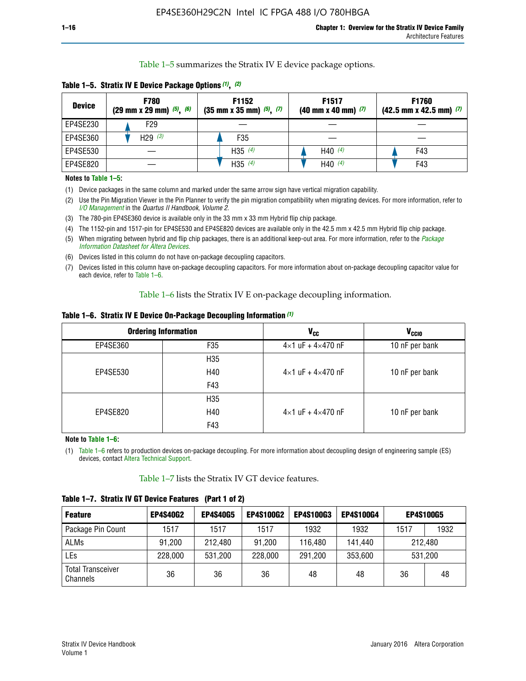Table 1–5 summarizes the Stratix IV E device package options.

| <b>Device</b> | <b>F780</b><br>$(29 \text{ mm} \times 29 \text{ mm})$ $(5)$ , $(6)$ | F1152<br>$(35 \text{ mm} \times 35 \text{ mm})$ $(5)$ , $(7)$ | F <sub>1517</sub><br>$(40 \text{ mm} \times 40 \text{ mm})$ (7) | <b>F1760</b><br>$(42.5$ mm x 42.5 mm) $(7)$ |
|---------------|---------------------------------------------------------------------|---------------------------------------------------------------|-----------------------------------------------------------------|---------------------------------------------|
| EP4SE230      | F29                                                                 |                                                               |                                                                 |                                             |
| EP4SE360      | H <sub>29</sub> $(3)$                                               | F35                                                           |                                                                 |                                             |
| EP4SE530      |                                                                     | H35 $(4)$                                                     | H40 $(4)$                                                       | F43                                         |
| EP4SE820      |                                                                     | H35 $(4)$                                                     | H40 $(4)$                                                       | F43                                         |

**Table 1–5. Stratix IV E Device Package Options** *(1)***,** *(2)*

#### **Notes to Table 1–5:**

(1) Device packages in the same column and marked under the same arrow sign have vertical migration capability.

(2) Use the Pin Migration Viewer in the Pin Planner to verify the pin migration compatibility when migrating devices. For more information, refer to *[I/O Management](http://www.altera.com/literature/hb/qts/qts_qii52013.pdf)* in the *Quartus II Handbook, Volume 2*.

(3) The 780-pin EP4SE360 device is available only in the 33 mm x 33 mm Hybrid flip chip package.

(4) The 1152-pin and 1517-pin for EP4SE530 and EP4SE820 devices are available only in the 42.5 mm x 42.5 mm Hybrid flip chip package.

(5) When migrating between hybrid and flip chip packages, there is an additional keep-out area. For more information, refer to the *[Package](http://www.altera.com/literature/ds/dspkg.pdf)  [Information Datasheet for Altera Devices](http://www.altera.com/literature/ds/dspkg.pdf)*.

(6) Devices listed in this column do not have on-package decoupling capacitors.

(7) Devices listed in this column have on-package decoupling capacitors. For more information about on-package decoupling capacitor value for each device, refer to Table 1–6.

Table 1–6 lists the Stratix IV E on-package decoupling information.

| Table 1–6. Stratix IV E Device On-Package Decoupling Information (1) |  |  |  |  |  |
|----------------------------------------------------------------------|--|--|--|--|--|
|----------------------------------------------------------------------|--|--|--|--|--|

|          | <b>Ordering Information</b> | <b>V<sub>cc</sub></b>               | <b>V<sub>CCIO</sub></b> |
|----------|-----------------------------|-------------------------------------|-------------------------|
| EP4SE360 | F35                         | $4 \times 1$ uF + $4 \times 470$ nF | 10 nF per bank          |
|          | H <sub>35</sub>             |                                     |                         |
| EP4SE530 | H40                         | $4 \times 1$ uF + $4 \times 470$ nF | 10 nF per bank          |
|          | F43                         |                                     |                         |
|          | H <sub>35</sub>             |                                     |                         |
| EP4SE820 | H40                         | $4 \times 1$ uF + $4 \times 470$ nF | 10 nF per bank          |
|          | F43                         |                                     |                         |

**Note to Table 1–6:**

(1) Table 1–6 refers to production devices on-package decoupling. For more information about decoupling design of engineering sample (ES) devices, contact [Altera Technical Support](http://mysupport.altera.com/eservice/login.asp).

Table 1–7 lists the Stratix IV GT device features.

| <b>Feature</b>                       | <b>EP4S40G2</b> | <b>EP4S40G5</b> | <b>EP4S100G2</b> | <b>EP4S100G3</b> | <b>EP4S100G4</b> | <b>EP4S100G5</b> |      |
|--------------------------------------|-----------------|-----------------|------------------|------------------|------------------|------------------|------|
| Package Pin Count                    | 1517            | 1517            | 1517             | 1932             | 1932             | 1517             | 1932 |
| <b>ALMs</b>                          | 91,200          | 212,480         | 91,200           | 116,480          | 141,440          | 212.480          |      |
| LEs                                  | 228,000         | 531,200         | 228,000          | 291,200          | 353,600          | 531,200          |      |
| <b>Total Transceiver</b><br>Channels | 36              | 36              | 36               | 48               | 48               | 36               | 48   |

**Table 1–7. Stratix IV GT Device Features (Part 1 of 2)**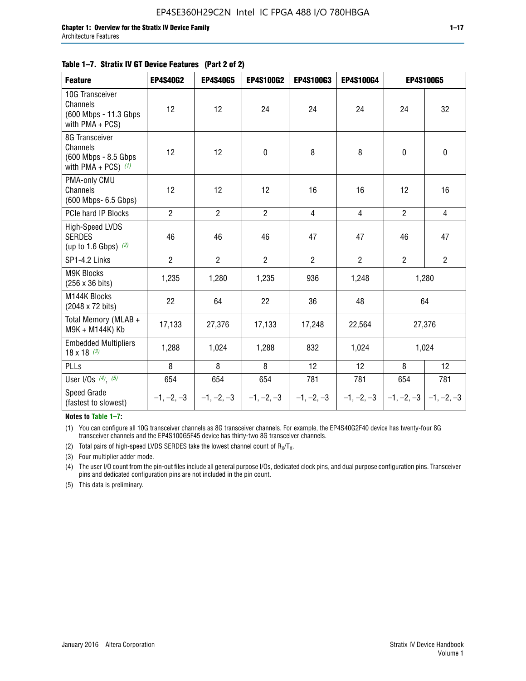#### **Table 1–7. Stratix IV GT Device Features (Part 2 of 2)**

| <b>Feature</b>                                                                     | <b>EP4S40G2</b> | <b>EP4S40G5</b> | <b>EP4S100G2</b> | <b>EP4S100G3</b> | EP4S100G4      | <b>EP4S100G5</b> |                           |
|------------------------------------------------------------------------------------|-----------------|-----------------|------------------|------------------|----------------|------------------|---------------------------|
| 10G Transceiver<br><b>Channels</b><br>(600 Mbps - 11.3 Gbps)<br>with $PMA + PCS$ ) | 12              | 12              | 24               | 24               | 24             | 24               | 32                        |
| 8G Transceiver<br>Channels<br>(600 Mbps - 8.5 Gbps<br>with PMA + PCS) $(1)$        | 12              | 12              | $\mathbf 0$      | 8                | 8              | $\mathbf 0$      | $\pmb{0}$                 |
| PMA-only CMU<br>Channels<br>(600 Mbps- 6.5 Gbps)                                   | 12              | 12              | 12               | 16               | 16             | 12               | 16                        |
| PCIe hard IP Blocks                                                                | $\overline{2}$  | $\overline{2}$  | $\overline{2}$   | 4                | $\overline{4}$ | $\overline{2}$   | $\overline{4}$            |
| High-Speed LVDS<br><b>SERDES</b><br>(up to 1.6 Gbps) $(2)$                         | 46              | 46              | 46               | 47               | 47             | 46               | 47                        |
| SP1-4.2 Links                                                                      | $\overline{2}$  | $\overline{2}$  | $\overline{2}$   | $\overline{2}$   | $\overline{2}$ | $\overline{2}$   | $\overline{2}$            |
| <b>M9K Blocks</b><br>(256 x 36 bits)                                               | 1,235           | 1,280           | 1,235            | 936              | 1,248          |                  | 1,280                     |
| M144K Blocks<br>(2048 x 72 bits)                                                   | 22              | 64              | 22               | 36               | 48             |                  | 64                        |
| Total Memory (MLAB +<br>M9K + M144K) Kb                                            | 17,133          | 27,376          | 17,133           | 17,248           | 22,564         |                  | 27,376                    |
| <b>Embedded Multipliers</b><br>$18 \times 18^{(3)}$                                | 1,288           | 1,024           | 1,288            | 832              | 1,024          |                  | 1,024                     |
| PLLs                                                                               | 8               | 8               | 8                | 12               | 12             | 8                | 12                        |
| User I/Os $(4)$ , $(5)$                                                            | 654             | 654             | 654              | 781              | 781            | 654              | 781                       |
| Speed Grade<br>(fastest to slowest)                                                | $-1, -2, -3$    | $-1, -2, -3$    | $-1, -2, -3$     | $-1, -2, -3$     | $-1, -2, -3$   |                  | $-1, -2, -3$ $-1, -2, -3$ |

**Notes to Table 1–7:**

(1) You can configure all 10G transceiver channels as 8G transceiver channels. For example, the EP4S40G2F40 device has twenty-four 8G transceiver channels and the EP4S100G5F45 device has thirty-two 8G transceiver channels.

(2) Total pairs of high-speed LVDS SERDES take the lowest channel count of  $R_X/T_X$ .

(3) Four multiplier adder mode.

(4) The user I/O count from the pin-out files include all general purpose I/Os, dedicated clock pins, and dual purpose configuration pins. Transceiver pins and dedicated configuration pins are not included in the pin count.

(5) This data is preliminary.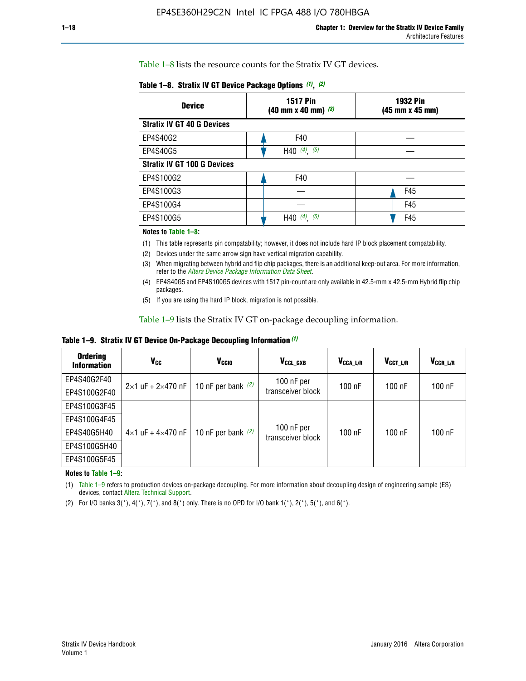Table 1–8 lists the resource counts for the Stratix IV GT devices.

| <b>Device</b>                      | <b>1517 Pin</b><br><b>1932 Pin</b><br>$(40 \text{ mm} \times 40 \text{ mm})$ $(3)$<br>(45 mm x 45 mm) |     |  |
|------------------------------------|-------------------------------------------------------------------------------------------------------|-----|--|
| <b>Stratix IV GT 40 G Devices</b>  |                                                                                                       |     |  |
| EP4S40G2                           | F40                                                                                                   |     |  |
| EP4S40G5                           | H40 $(4)$ , $(5)$                                                                                     |     |  |
| <b>Stratix IV GT 100 G Devices</b> |                                                                                                       |     |  |
| EP4S100G2                          | F40                                                                                                   |     |  |
| EP4S100G3                          |                                                                                                       | F45 |  |
| EP4S100G4                          |                                                                                                       | F45 |  |
| EP4S100G5                          | (5)<br>$(4)$ ,<br>H40                                                                                 | F45 |  |

#### **Notes to Table 1–8:**

(1) This table represents pin compatability; however, it does not include hard IP block placement compatability.

- (2) Devices under the same arrow sign have vertical migration capability.
- (3) When migrating between hybrid and flip chip packages, there is an additional keep-out area. For more information, refer to the *[Altera Device Package Information Data Sheet](http://www.altera.com/literature/ds/dspkg.pdf)*.
- (4) EP4S40G5 and EP4S100G5 devices with 1517 pin-count are only available in 42.5-mm x 42.5-mm Hybrid flip chip packages.
- (5) If you are using the hard IP block, migration is not possible.

Table 1–9 lists the Stratix IV GT on-package decoupling information.

**Table 1–9. Stratix IV GT Device On-Package Decoupling Information** *(1)*

| <b>Ordering</b><br><b>Information</b> | Vcc                                 | <b>V<sub>CCIO</sub></b> | V <sub>CCL GXB</sub>            | V <sub>CCA L/R</sub> | V <sub>CCT L/R</sub> | V <sub>CCR_L/R</sub> |
|---------------------------------------|-------------------------------------|-------------------------|---------------------------------|----------------------|----------------------|----------------------|
| EP4S40G2F40                           | $2 \times 1$ uF + $2 \times 470$ nF | 10 nF per bank $(2)$    | 100 nF per<br>transceiver block | $100$ nF             | $100$ nF             | $100$ nF             |
| EP4S100G2F40                          |                                     |                         |                                 |                      |                      |                      |
| EP4S100G3F45                          |                                     | 10 nF per bank $(2)$    | 100 nF per<br>transceiver block | $100$ nF             | $100$ nF             | $100$ nF             |
| EP4S100G4F45                          | $4\times1$ uF + $4\times470$ nF     |                         |                                 |                      |                      |                      |
| EP4S40G5H40                           |                                     |                         |                                 |                      |                      |                      |
| EP4S100G5H40                          |                                     |                         |                                 |                      |                      |                      |
| EP4S100G5F45                          |                                     |                         |                                 |                      |                      |                      |

**Notes to Table 1–9:**

(1) Table 1–9 refers to production devices on-package decoupling. For more information about decoupling design of engineering sample (ES) devices, contact [Altera Technical Support](http://mysupport.altera.com/eservice/login.asp).

(2) For I/O banks  $3(*)$ ,  $4(*)$ ,  $7(*)$ , and  $8(*)$  only. There is no OPD for I/O bank  $1(*)$ ,  $2(*)$ ,  $5(*)$ , and  $6(*)$ .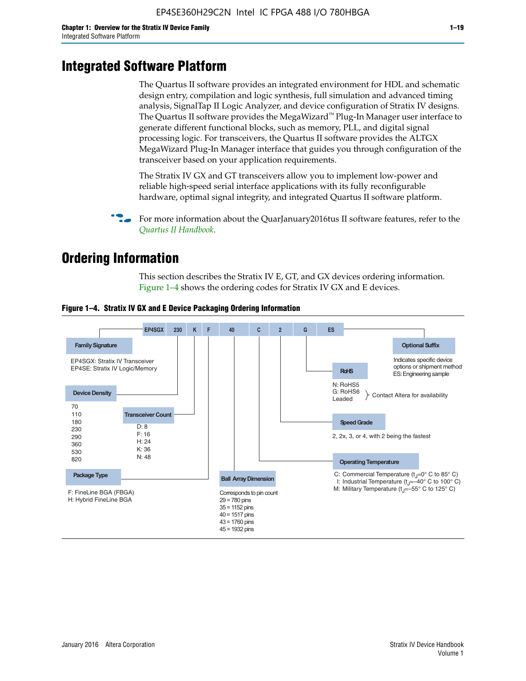# **Integrated Software Platform**

The Quartus II software provides an integrated environment for HDL and schematic design entry, compilation and logic synthesis, full simulation and advanced timing analysis, SignalTap II Logic Analyzer, and device configuration of Stratix IV designs. The Quartus II software provides the MegaWizard<sup> $M$ </sup> Plug-In Manager user interface to generate different functional blocks, such as memory, PLL, and digital signal processing logic. For transceivers, the Quartus II software provides the ALTGX MegaWizard Plug-In Manager interface that guides you through configuration of the transceiver based on your application requirements.

The Stratix IV GX and GT transceivers allow you to implement low-power and reliable high-speed serial interface applications with its fully reconfigurable hardware, optimal signal integrity, and integrated Quartus II software platform.

For more information about the QuarJanuary2016tus II software features, refer to the *[Quartus II Handbook](http://www.altera.com/literature/lit-qts.jsp)*.

# **Ordering Information**

This section describes the Stratix IV E, GT, and GX devices ordering information. Figure 1–4 shows the ordering codes for Stratix IV GX and E devices.



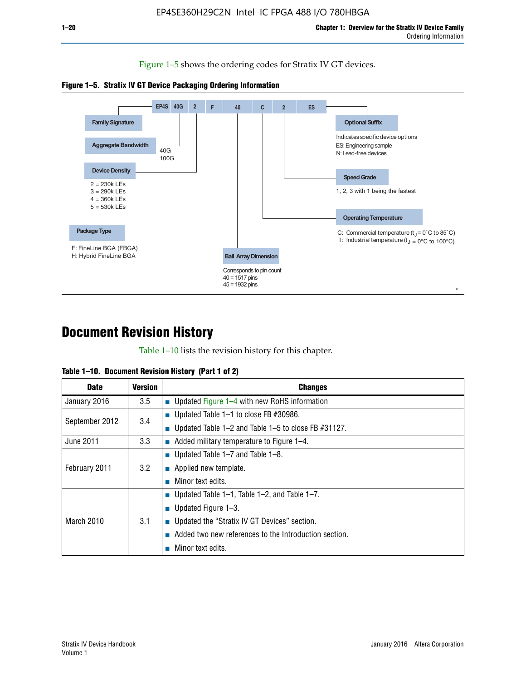Figure 1–5 shows the ordering codes for Stratix IV GT devices.





# **Document Revision History**

Table 1–10 lists the revision history for this chapter.

|  | Table 1–10. Document Revision History (Part 1 of 2) |  |  |
|--|-----------------------------------------------------|--|--|
|--|-----------------------------------------------------|--|--|

| <b>Date</b>       | <b>Version</b> | <b>Changes</b>                                              |
|-------------------|----------------|-------------------------------------------------------------|
| January 2016      | 3.5            | ■ Updated Figure $1-4$ with new RoHS information            |
| September 2012    | 3.4            | ■ Updated Table 1–1 to close FB $#30986$ .                  |
|                   |                | Updated Table $1-2$ and Table $1-5$ to close FB $\#31127$ . |
| June 2011         | 3.3            | $\blacksquare$ Added military temperature to Figure 1–4.    |
| February 2011     | 3.2            | ■ Updated Table 1–7 and Table 1–8.                          |
|                   |                | • Applied new template.                                     |
|                   |                | Minor text edits.                                           |
| <b>March 2010</b> | 3.1            | ■ Updated Table 1–1, Table 1–2, and Table 1–7.              |
|                   |                | ■ Updated Figure $1-3$ .                                    |
|                   |                | Updated the "Stratix IV GT Devices" section.                |
|                   |                | Added two new references to the Introduction section.       |
|                   |                | Minor text edits.                                           |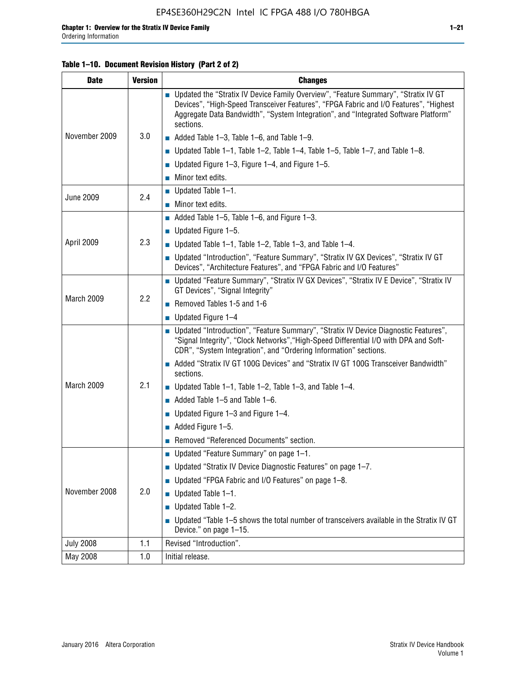#### **Table 1–10. Document Revision History (Part 2 of 2)**

| <b>Date</b>      | <b>Version</b> | <b>Changes</b>                                                                                                                                                                                                                                                                    |  |
|------------------|----------------|-----------------------------------------------------------------------------------------------------------------------------------------------------------------------------------------------------------------------------------------------------------------------------------|--|
| November 2009    | 3.0            | ■ Updated the "Stratix IV Device Family Overview", "Feature Summary", "Stratix IV GT<br>Devices", "High-Speed Transceiver Features", "FPGA Fabric and I/O Features", "Highest<br>Aggregate Data Bandwidth", "System Integration", and "Integrated Software Platform"<br>sections. |  |
|                  |                | $\blacksquare$ Added Table 1-3, Table 1-6, and Table 1-9.                                                                                                                                                                                                                         |  |
|                  |                | $\blacksquare$ Updated Table 1-1, Table 1-2, Table 1-4, Table 1-5, Table 1-7, and Table 1-8.                                                                                                                                                                                      |  |
|                  |                | ■ Updated Figure 1–3, Figure 1–4, and Figure 1–5.                                                                                                                                                                                                                                 |  |
|                  |                | $\blacksquare$ Minor text edits.                                                                                                                                                                                                                                                  |  |
| <b>June 2009</b> | 2.4            | $\blacksquare$ Updated Table 1-1.                                                                                                                                                                                                                                                 |  |
|                  |                | $\blacksquare$ Minor text edits.                                                                                                                                                                                                                                                  |  |
|                  |                | $\blacksquare$ Added Table 1–5, Table 1–6, and Figure 1–3.                                                                                                                                                                                                                        |  |
|                  |                | $\blacksquare$ Updated Figure 1-5.                                                                                                                                                                                                                                                |  |
| April 2009       | 2.3            | Updated Table $1-1$ , Table $1-2$ , Table $1-3$ , and Table $1-4$ .                                                                                                                                                                                                               |  |
|                  |                | ■ Updated "Introduction", "Feature Summary", "Stratix IV GX Devices", "Stratix IV GT<br>Devices", "Architecture Features", and "FPGA Fabric and I/O Features"                                                                                                                     |  |
|                  | 2.2            | ■ Updated "Feature Summary", "Stratix IV GX Devices", "Stratix IV E Device", "Stratix IV<br>GT Devices", "Signal Integrity"                                                                                                                                                       |  |
| March 2009       |                | Removed Tables 1-5 and 1-6                                                                                                                                                                                                                                                        |  |
|                  |                | $\blacksquare$ Updated Figure 1-4                                                                                                                                                                                                                                                 |  |
|                  |                | ■ Updated "Introduction", "Feature Summary", "Stratix IV Device Diagnostic Features",<br>"Signal Integrity", "Clock Networks", "High-Speed Differential I/O with DPA and Soft-<br>CDR", "System Integration", and "Ordering Information" sections.                                |  |
|                  |                | Added "Stratix IV GT 100G Devices" and "Stratix IV GT 100G Transceiver Bandwidth"<br>sections.                                                                                                                                                                                    |  |
| March 2009       | 2.1            | ■ Updated Table 1–1, Table 1–2, Table 1–3, and Table 1–4.                                                                                                                                                                                                                         |  |
|                  |                | $\blacksquare$ Added Table 1–5 and Table 1–6.                                                                                                                                                                                                                                     |  |
|                  |                | ■ Updated Figure 1–3 and Figure 1–4.                                                                                                                                                                                                                                              |  |
|                  |                | $\blacksquare$ Added Figure 1-5.                                                                                                                                                                                                                                                  |  |
|                  |                | Removed "Referenced Documents" section.                                                                                                                                                                                                                                           |  |
| November 2008    | 2.0            | Updated "Feature Summary" on page 1-1.                                                                                                                                                                                                                                            |  |
|                  |                | ■ Updated "Stratix IV Device Diagnostic Features" on page 1-7.                                                                                                                                                                                                                    |  |
|                  |                | Updated "FPGA Fabric and I/O Features" on page 1-8.                                                                                                                                                                                                                               |  |
|                  |                | $\blacksquare$ Updated Table 1-1.                                                                                                                                                                                                                                                 |  |
|                  |                | Updated Table 1-2.<br>П                                                                                                                                                                                                                                                           |  |
|                  |                | Updated "Table 1-5 shows the total number of transceivers available in the Stratix IV GT<br>Device." on page 1-15.                                                                                                                                                                |  |
| <b>July 2008</b> | 1.1            | Revised "Introduction".                                                                                                                                                                                                                                                           |  |
| May 2008         | 1.0            | Initial release.                                                                                                                                                                                                                                                                  |  |